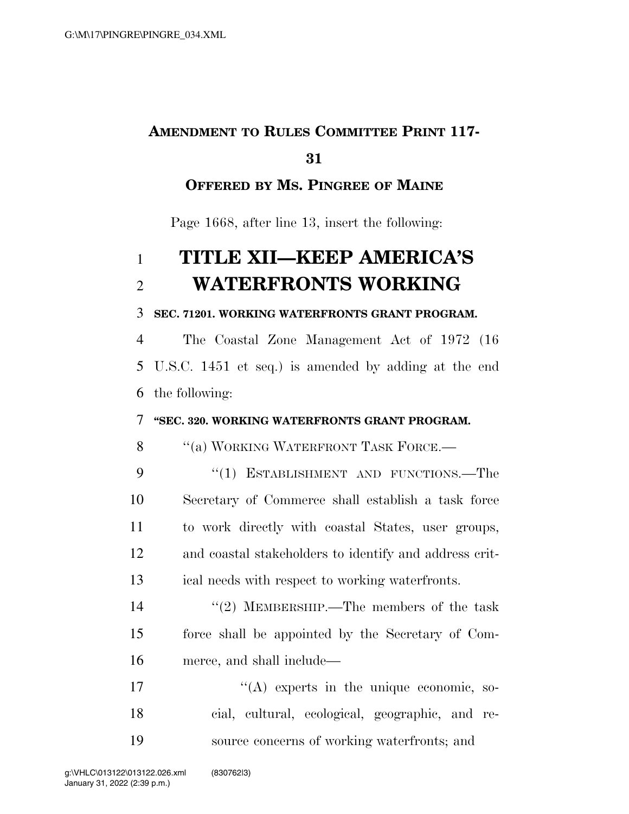## **AMENDMENT TO RULES COMMITTEE PRINT 117-**

### **OFFERED BY MS. PINGREE OF MAINE**

Page 1668, after line 13, insert the following:

# **TITLE XII—KEEP AMERICA'S WATERFRONTS WORKING**

### **SEC. 71201. WORKING WATERFRONTS GRANT PROGRAM.**

 The Coastal Zone Management Act of 1972 (16 U.S.C. 1451 et seq.) is amended by adding at the end the following:

### **''SEC. 320. WORKING WATERFRONTS GRANT PROGRAM.**

8 "(a) WORKING WATERFRONT TASK FORCE.—

9 "(1) ESTABLISHMENT AND FUNCTIONS.—The Secretary of Commerce shall establish a task force to work directly with coastal States, user groups, and coastal stakeholders to identify and address crit-ical needs with respect to working waterfronts.

14 ''(2) MEMBERSHIP.—The members of the task force shall be appointed by the Secretary of Com-merce, and shall include—

17  $((A)$  experts in the unique economic, so- cial, cultural, ecological, geographic, and re-source concerns of working waterfronts; and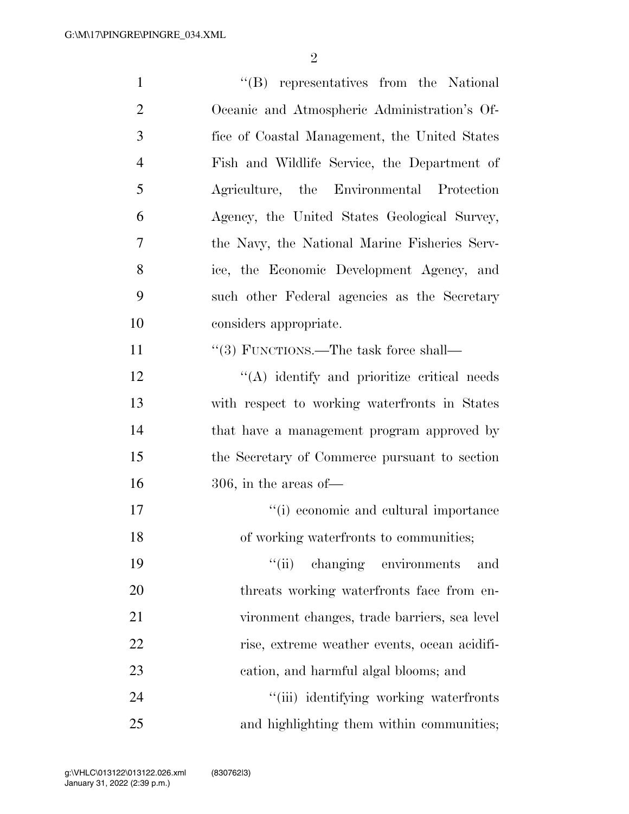| $\mathbf{1}$   | "(B) representatives from the National          |
|----------------|-------------------------------------------------|
| $\overline{2}$ | Oceanic and Atmospheric Administration's Of-    |
| 3              | fice of Coastal Management, the United States   |
| $\overline{4}$ | Fish and Wildlife Service, the Department of    |
| 5              | Agriculture, the Environmental Protection       |
| 6              | Agency, the United States Geological Survey,    |
| 7              | the Navy, the National Marine Fisheries Serv-   |
| 8              | ice, the Economic Development Agency, and       |
| 9              | such other Federal agencies as the Secretary    |
| 10             | considers appropriate.                          |
| 11             | "(3) FUNCTIONS.—The task force shall—           |
| 12             | $\lq\lq$ identify and prioritize critical needs |
| 13             | with respect to working waterfronts in States   |
| 14             | that have a management program approved by      |
| 15             | the Secretary of Commerce pursuant to section   |
| 16             | $306$ , in the areas of —                       |
| 17             | "(i) economic and cultural importance           |
| 18             | of working waterfronts to communities;          |
| 19             | changing environments<br>``(ii)<br>and          |
| 20             | threats working waterfronts face from en-       |
| 21             | vironment changes, trade barriers, sea level    |
| 22             | rise, extreme weather events, ocean acidifi-    |
| 23             | cation, and harmful algal blooms; and           |
| 24             | "(iii) identifying working waterfronts          |
| 25             | and highlighting them within communities;       |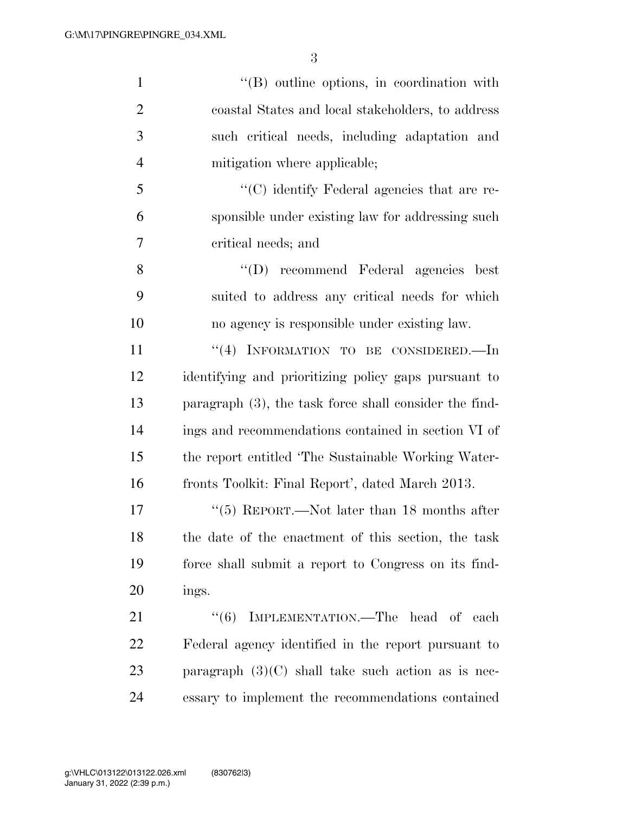| $\mathbf{1}$   | $\lq\lq (B)$ outline options, in coordination with        |
|----------------|-----------------------------------------------------------|
| $\overline{2}$ | coastal States and local stakeholders, to address         |
| 3              | such critical needs, including adaptation and             |
| $\overline{4}$ | mitigation where applicable;                              |
| 5              | $\lq\lq$ identify Federal agencies that are re-           |
| 6              | sponsible under existing law for addressing such          |
| 7              | critical needs; and                                       |
| 8              | "(D) recommend Federal agencies best                      |
| 9              | suited to address any critical needs for which            |
| 10             | no agency is responsible under existing law.              |
| 11             | "(4) INFORMATION TO BE CONSIDERED.—In                     |
| 12             | identifying and prioritizing policy gaps pursuant to      |
| 13             | paragraph $(3)$ , the task force shall consider the find- |
| 14             | ings and recommendations contained in section VI of       |
| 15             | the report entitled 'The Sustainable Working Water-       |
| 16             | fronts Toolkit: Final Report', dated March 2013.          |
| 17             | "(5) REPORT.—Not later than 18 months after               |
| 18             | the date of the enactment of this section, the task       |
| 19             | force shall submit a report to Congress on its find-      |
| 20             | ings.                                                     |
| 21             | "(6) IMPLEMENTATION.—The head of each                     |
| 22             | Federal agency identified in the report pursuant to       |
| 23             | paragraph $(3)(C)$ shall take such action as is nec-      |
| 24             | essary to implement the recommendations contained         |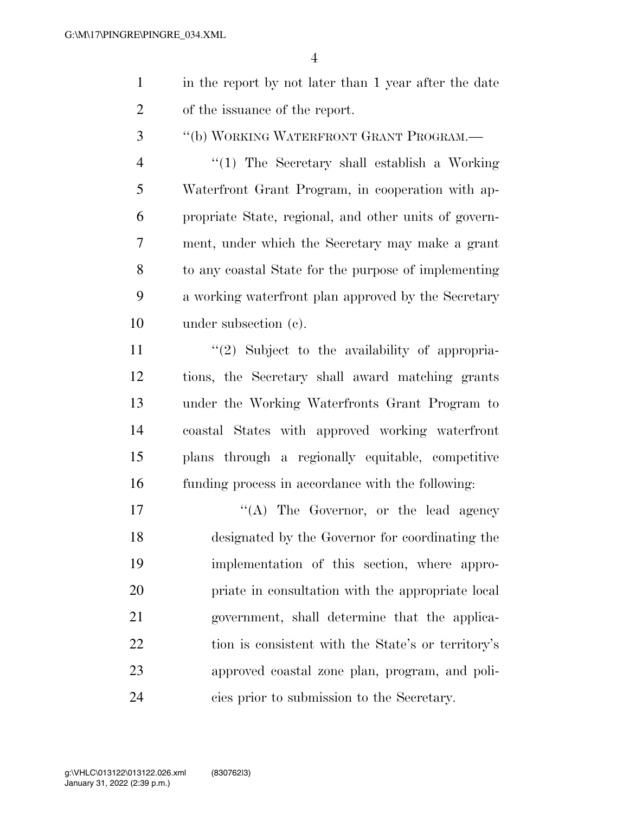- in the report by not later than 1 year after the date of the issuance of the report.
- ''(b) WORKING WATERFRONT GRANT PROGRAM.—

 ''(1) The Secretary shall establish a Working Waterfront Grant Program, in cooperation with ap- propriate State, regional, and other units of govern- ment, under which the Secretary may make a grant to any coastal State for the purpose of implementing a working waterfront plan approved by the Secretary under subsection (c).

11 ''(2) Subject to the availability of appropria- tions, the Secretary shall award matching grants under the Working Waterfronts Grant Program to coastal States with approved working waterfront plans through a regionally equitable, competitive funding process in accordance with the following:

17 ''(A) The Governor, or the lead agency designated by the Governor for coordinating the implementation of this section, where appro- priate in consultation with the appropriate local government, shall determine that the applica- tion is consistent with the State's or territory's approved coastal zone plan, program, and poli-cies prior to submission to the Secretary.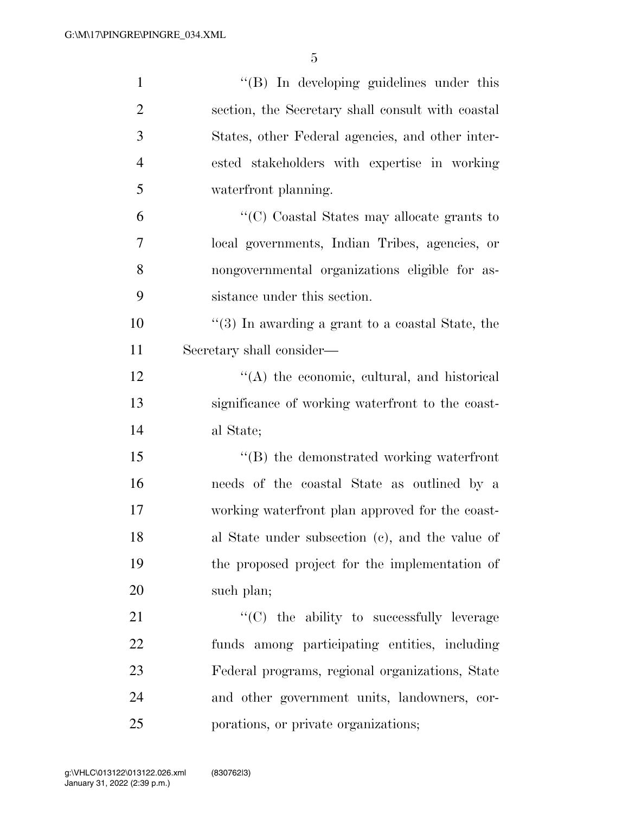| $\mathbf{1}$   | $\lq\lq (B)$ In developing guidelines under this        |
|----------------|---------------------------------------------------------|
| $\overline{2}$ | section, the Secretary shall consult with coastal       |
| 3              | States, other Federal agencies, and other inter-        |
| $\overline{4}$ | ested stakeholders with expertise in working            |
| 5              | waterfront planning.                                    |
| 6              | "(C) Coastal States may allocate grants to              |
| 7              | local governments, Indian Tribes, agencies, or          |
| $8\,$          | nongovernmental organizations eligible for as-          |
| 9              | sistance under this section.                            |
| 10             | $\cdot$ (3) In awarding a grant to a coastal State, the |
| 11             | Secretary shall consider—                               |
| 12             | $\lq\lq$ the economic, cultural, and historical         |
| 13             | significance of working waterfront to the coast-        |
| 14             | al State;                                               |
| 15             | $\lq\lq (B)$ the demonstrated working waterfront        |
| 16             | needs of the coastal State as outlined by a             |
| 17             | working waterfront plan approved for the coast-         |
| 18             | al State under subsection (c), and the value of         |
| 19             | the proposed project for the implementation of          |
| 20             | such plan;                                              |
| 21             | "(C) the ability to successfully leverage               |
| 22             | funds among participating entities, including           |
| 23             | Federal programs, regional organizations, State         |
| 24             | and other government units, landowners, cor-            |
| 25             | porations, or private organizations;                    |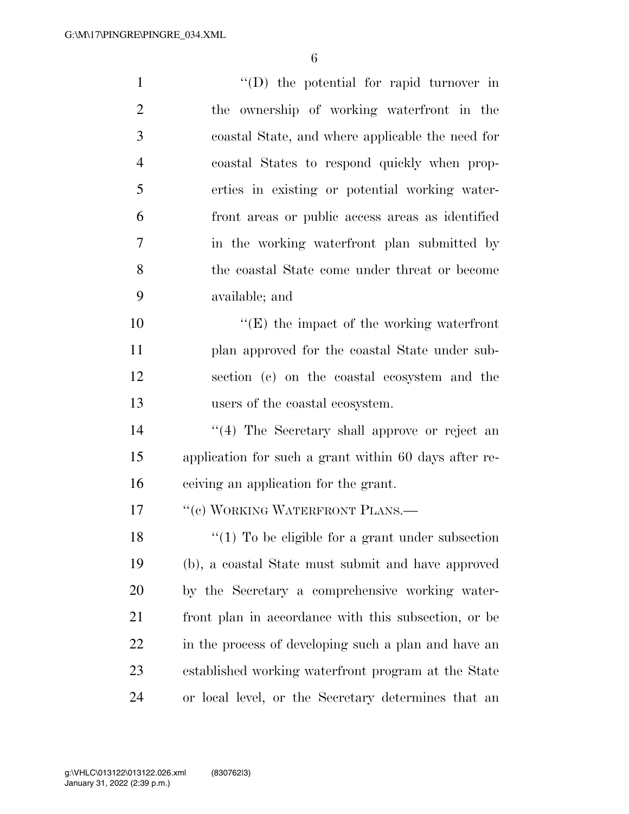$''(D)$  the potential for rapid turnover in the ownership of working waterfront in the coastal State, and where applicable the need for coastal States to respond quickly when prop- erties in existing or potential working water- front areas or public access areas as identified in the working waterfront plan submitted by the coastal State come under threat or become available; and  $\langle G \rangle$  the impact of the working waterfront plan approved for the coastal State under sub- section (c) on the coastal ecosystem and the users of the coastal ecosystem. 14 ''(4) The Secretary shall approve or reject an application for such a grant within 60 days after re- ceiving an application for the grant. 17 "(c) WORKING WATERFRONT PLANS.— 18 ''(1) To be eligible for a grant under subsection (b), a coastal State must submit and have approved by the Secretary a comprehensive working water- front plan in accordance with this subsection, or be in the process of developing such a plan and have an established working waterfront program at the State or local level, or the Secretary determines that an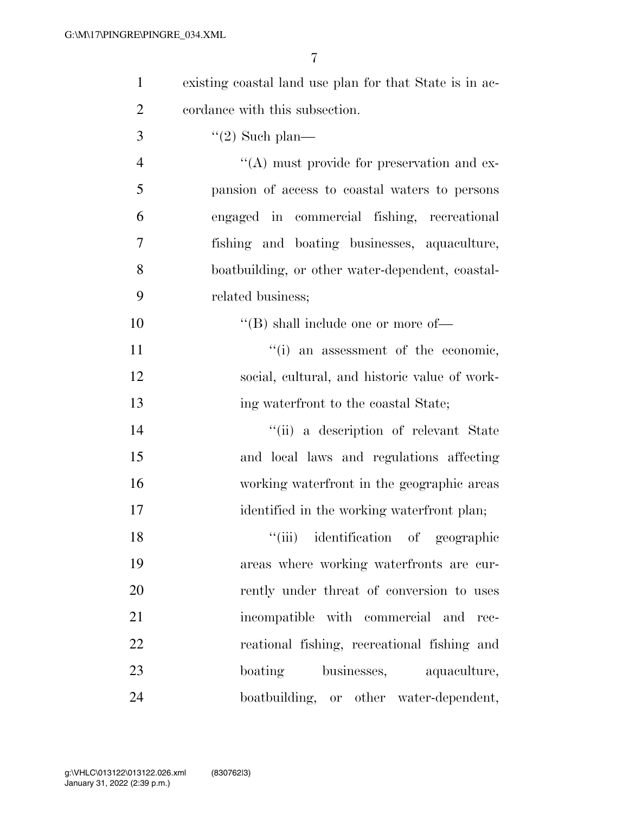| $\mathbf{1}$   | existing coastal land use plan for that State is in ac- |
|----------------|---------------------------------------------------------|
| $\overline{2}$ | cordance with this subsection.                          |
| 3              | $\lq(2)$ Such plan—                                     |
| $\overline{4}$ | $\lq\lq$ must provide for preservation and ex-          |
| 5              | pansion of access to coastal waters to persons          |
| 6              | engaged in commercial fishing, recreational             |
| 7              | fishing and boating businesses, aquaculture,            |
| 8              | boatbuilding, or other water-dependent, coastal-        |
| 9              | related business;                                       |
| 10             | $\lq\lq$ (B) shall include one or more of —             |
| 11             | "(i) an assessment of the economic,                     |
| 12             | social, cultural, and historic value of work-           |
| 13             | ing waterfront to the coastal State;                    |
| 14             | "(ii) a description of relevant State                   |
| 15             | and local laws and regulations affecting                |
| 16             | working waterfront in the geographic areas              |
| 17             | identified in the working waterfront plan;              |
| 18             | "(iii) identification of geographic                     |
| 19             | areas where working waterfronts are cur-                |
| 20             | rently under threat of conversion to uses               |
| 21             | incompatible with commercial and rec-                   |
| 22             | reational fishing, recreational fishing and             |
| 23             | boating businesses, aquaculture,                        |
| 24             | boatbuilding, or other water-dependent,                 |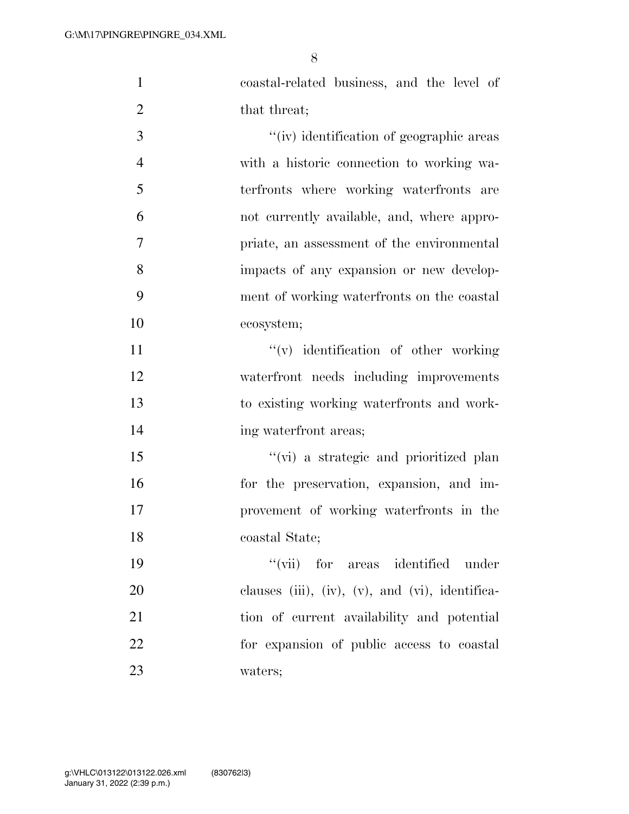coastal-related business, and the level of 2 that threat;

 $''(iv)$  identification of geographic areas with a historic connection to working wa- terfronts where working waterfronts are not currently available, and, where appro- priate, an assessment of the environmental impacts of any expansion or new develop- ment of working waterfronts on the coastal ecosystem;

 $''(v)$  identification of other working waterfront needs including improvements to existing working waterfronts and work-14 ing waterfront areas;

 ''(vi) a strategic and prioritized plan for the preservation, expansion, and im- provement of working waterfronts in the coastal State;

 ''(vii) for areas identified under clauses (iii), (iv), (v), and (vi), identifica- tion of current availability and potential for expansion of public access to coastal waters;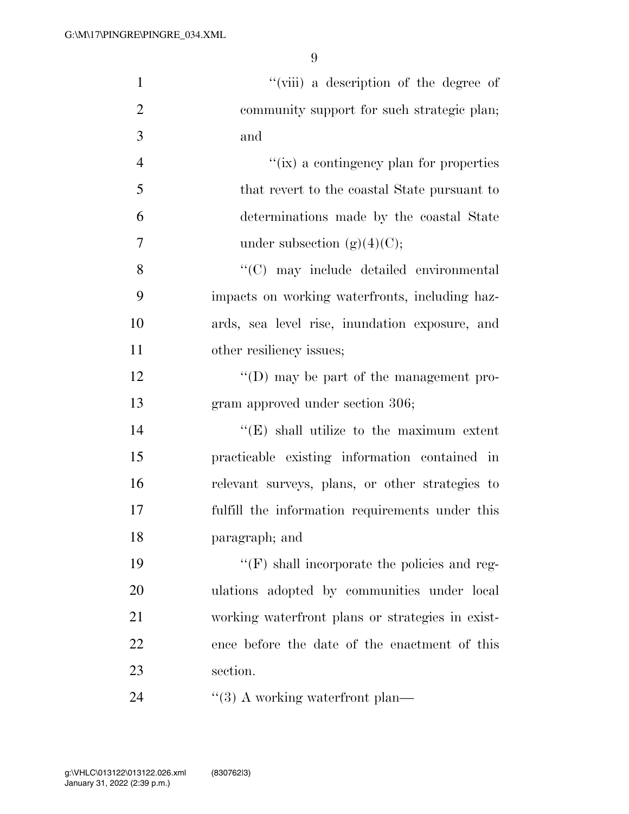| $\mathbf{1}$   | "(viii) a description of the degree of              |
|----------------|-----------------------------------------------------|
| $\overline{2}$ | community support for such strategic plan;          |
| 3              | and                                                 |
| $\overline{4}$ | "(ix) a contingency plan for properties             |
| 5              | that revert to the coastal State pursuant to        |
| 6              | determinations made by the coastal State            |
| $\overline{7}$ | under subsection $(g)(4)(C)$ ;                      |
| 8              | "(C) may include detailed environmental             |
| 9              | impacts on working waterfronts, including haz-      |
| 10             | ards, sea level rise, inundation exposure, and      |
| 11             | other resiliency issues;                            |
| 12             | $\lq\lq$ (D) may be part of the management pro-     |
| 13             | gram approved under section 306;                    |
| 14             | $\lq\lq(E)$ shall utilize to the maximum extent     |
| 15             | practicable existing information contained in       |
| 16             | relevant surveys, plans, or other strategies to     |
| 17             | fulfill the information requirements under this     |
| 18             | paragraph; and                                      |
| 19             | $\lq\lq(F)$ shall incorporate the policies and reg- |
| 20             | ulations adopted by communities under local         |
| 21             | working waterfront plans or strategies in exist-    |
| 22             | ence before the date of the enactment of this       |
| 23             | section.                                            |
| 24             | $\cdot$ (3) A working waterfront plan—              |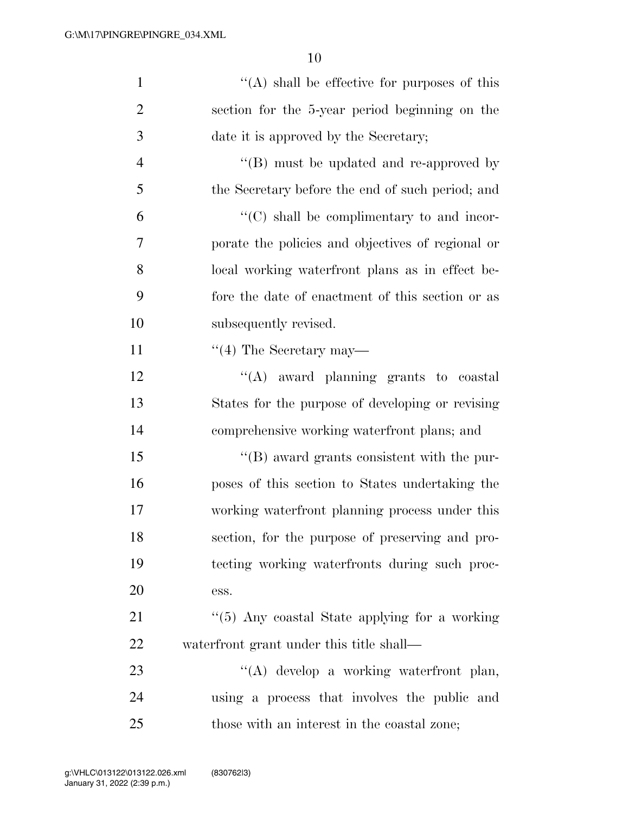| $\mathbf{1}$   | $\lq\lq$ shall be effective for purposes of this   |
|----------------|----------------------------------------------------|
| $\overline{2}$ | section for the 5-year period beginning on the     |
| 3              | date it is approved by the Secretary;              |
| $\overline{4}$ | "(B) must be updated and re-approved by            |
| 5              | the Secretary before the end of such period; and   |
| 6              | $\lq\lq$ (C) shall be complimentary to and incor-  |
| 7              | porate the policies and objectives of regional or  |
| 8              | local working waterfront plans as in effect be-    |
| 9              | fore the date of enactment of this section or as   |
| 10             | subsequently revised.                              |
| 11             | $\lq(4)$ The Secretary may—                        |
| 12             | "(A) award planning grants to coastal              |
| 13             | States for the purpose of developing or revising   |
| 14             | comprehensive working waterfront plans; and        |
| 15             | $\lq\lq (B)$ award grants consistent with the pur- |
| 16             | poses of this section to States undertaking the    |
| 17             | working waterfront planning process under this     |
| 18             | section, for the purpose of preserving and pro-    |
| 19             | tecting working waterfronts during such proc-      |
| 20             | ess.                                               |
| 21             | "(5) Any coastal State applying for a working      |
| 22             | waterfront grant under this title shall—           |
| 23             | "(A) develop a working waterfront plan,            |
| 24             | using a process that involves the public and       |
| 25             | those with an interest in the coastal zone;        |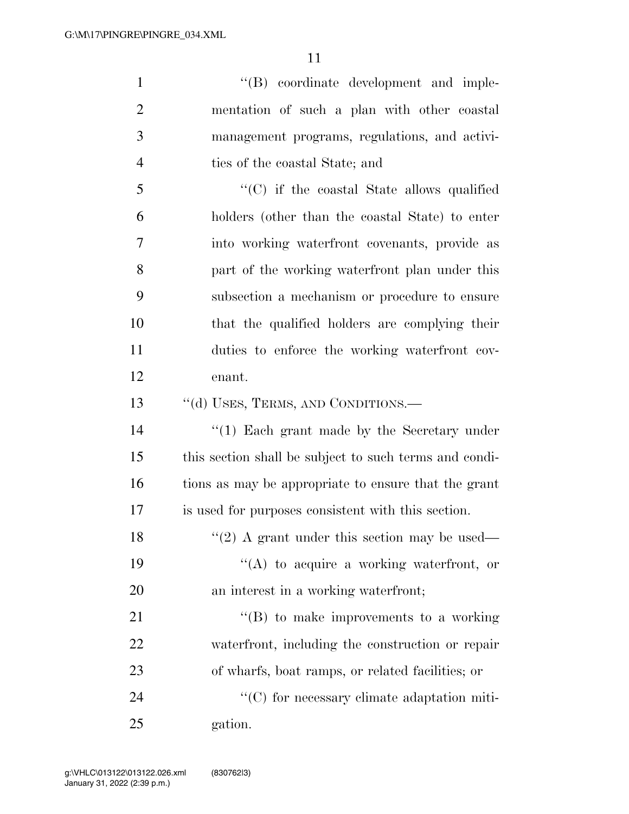''(B) coordinate development and imple- mentation of such a plan with other coastal management programs, regulations, and activi- ties of the coastal State; and ''(C) if the coastal State allows qualified holders (other than the coastal State) to enter into working waterfront covenants, provide as part of the working waterfront plan under this subsection a mechanism or procedure to ensure that the qualified holders are complying their

enant.

13 ""(d) USES, TERMS, AND CONDITIONS.—

14 ''(1) Each grant made by the Secretary under this section shall be subject to such terms and condi- tions as may be appropriate to ensure that the grant is used for purposes consistent with this section.

duties to enforce the working waterfront cov-

18  $\frac{1}{2}$  A grant under this section may be used— 19  $"({\rm A})$  to acquire a working waterfront, or an interest in a working waterfront;

21 ''(B) to make improvements to a working waterfront, including the construction or repair of wharfs, boat ramps, or related facilities; or

24  $\cdot$  (C) for necessary climate adaptation miti-gation.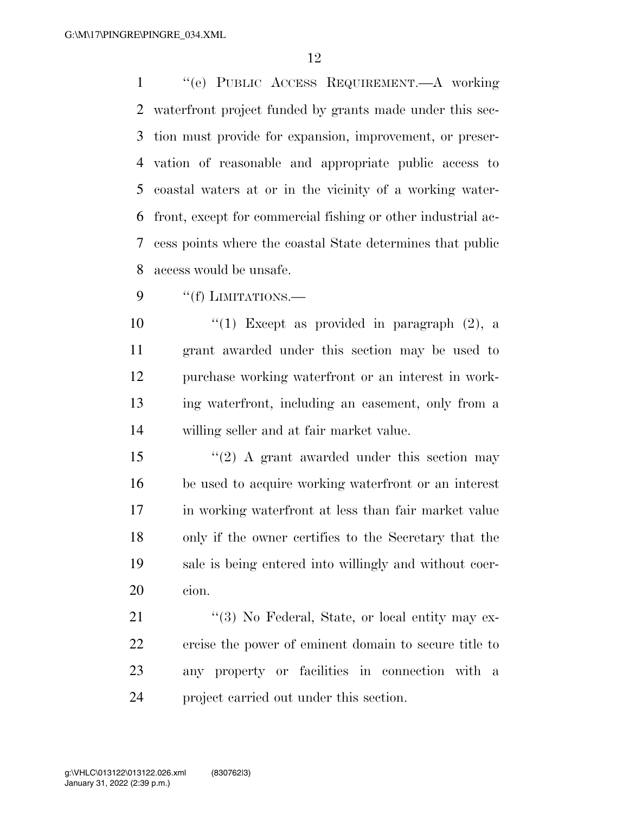''(e) PUBLIC ACCESS REQUIREMENT.—A working waterfront project funded by grants made under this sec- tion must provide for expansion, improvement, or preser- vation of reasonable and appropriate public access to coastal waters at or in the vicinity of a working water- front, except for commercial fishing or other industrial ac- cess points where the coastal State determines that public access would be unsafe.

9 "(f) LIMITATIONS.

 $\frac{u(1)}{2}$  Except as provided in paragraph (2), a grant awarded under this section may be used to purchase working waterfront or an interest in work- ing waterfront, including an easement, only from a willing seller and at fair market value.

15 ''(2) A grant awarded under this section may be used to acquire working waterfront or an interest in working waterfront at less than fair market value only if the owner certifies to the Secretary that the sale is being entered into willingly and without coer-cion.

21 ''(3) No Federal, State, or local entity may ex- ercise the power of eminent domain to secure title to any property or facilities in connection with a project carried out under this section.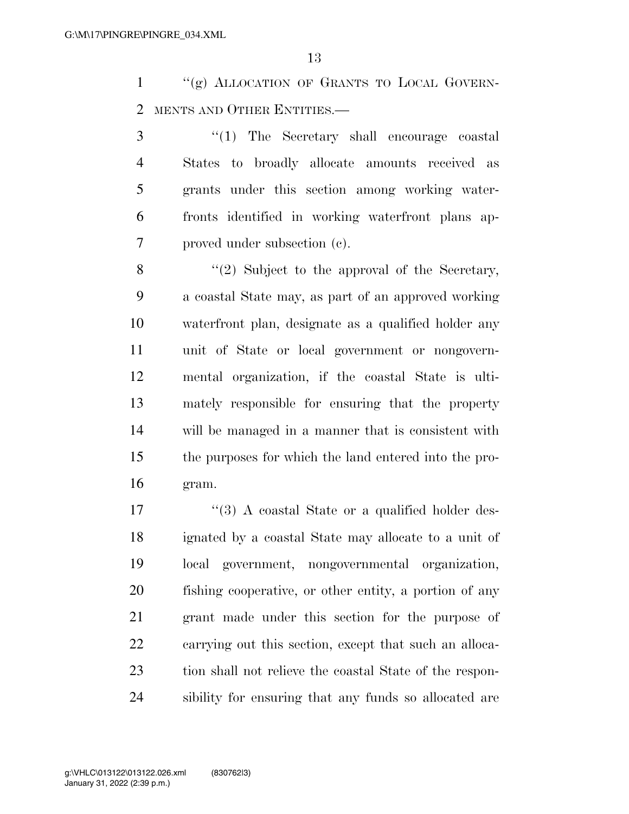"(g) ALLOCATION OF GRANTS TO LOCAL GOVERN-MENTS AND OTHER ENTITIES.—

 ''(1) The Secretary shall encourage coastal States to broadly allocate amounts received as grants under this section among working water- fronts identified in working waterfront plans ap-proved under subsection (c).

8 "(2) Subject to the approval of the Secretary, a coastal State may, as part of an approved working waterfront plan, designate as a qualified holder any unit of State or local government or nongovern- mental organization, if the coastal State is ulti- mately responsible for ensuring that the property will be managed in a manner that is consistent with the purposes for which the land entered into the pro-gram.

17 ''(3) A coastal State or a qualified holder des- ignated by a coastal State may allocate to a unit of local government, nongovernmental organization, fishing cooperative, or other entity, a portion of any grant made under this section for the purpose of carrying out this section, except that such an alloca- tion shall not relieve the coastal State of the respon-sibility for ensuring that any funds so allocated are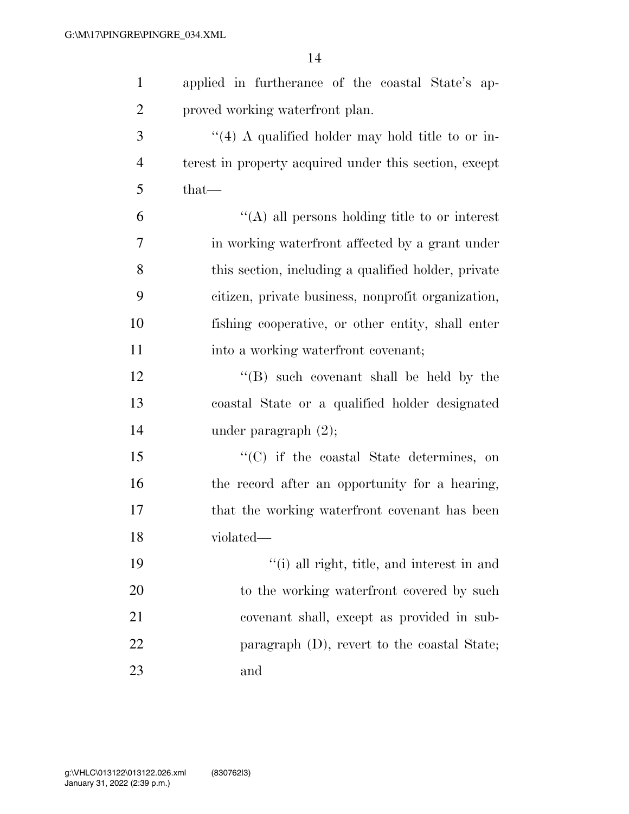| $\mathbf{1}$   | applied in furtherance of the coastal State's ap-      |
|----------------|--------------------------------------------------------|
| $\overline{2}$ | proved working waterfront plan.                        |
| 3              | "(4) A qualified holder may hold title to or in-       |
| $\overline{4}$ | terest in property acquired under this section, except |
| 5              | $that-$                                                |
| 6              | $\lq\lq$ (A) all persons holding title to or interest  |
| $\overline{7}$ | in working waterfront affected by a grant under        |
| 8              | this section, including a qualified holder, private    |
| 9              | citizen, private business, nonprofit organization,     |
| 10             | fishing cooperative, or other entity, shall enter      |
| 11             | into a working waterfront covenant;                    |
| 12             | "(B) such covenant shall be held by the                |
| 13             | coastal State or a qualified holder designated         |
| 14             | under paragraph $(2)$ ;                                |
| 15             | "(C) if the coastal State determines, on               |
| 16             | the record after an opportunity for a hearing,         |
| 17             | that the working waterfront covenant has been          |
| 18             | violated—                                              |
| 19             | "(i) all right, title, and interest in and             |
| 20             | to the working waterfront covered by such              |
| 21             | covenant shall, except as provided in sub-             |
| 22             | paragraph $(D)$ , revert to the coastal State;         |
| 23             | and                                                    |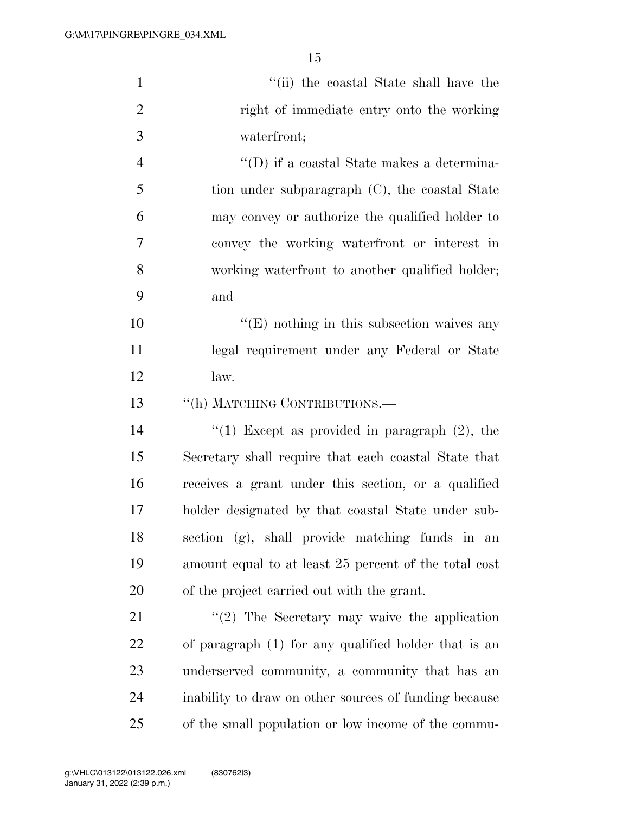| $\mathbf{1}$   | "(ii) the coastal State shall have the                |
|----------------|-------------------------------------------------------|
| $\overline{2}$ | right of immediate entry onto the working             |
| 3              | waterfront;                                           |
| $\overline{4}$ | $\lq\lq$ ) if a coastal State makes a determina-      |
| 5              | tion under subparagraph (C), the coastal State        |
| 6              | may convey or authorize the qualified holder to       |
| 7              | convey the working waterfront or interest in          |
| 8              | working waterfront to another qualified holder;       |
| 9              | and                                                   |
| 10             | $\lq\lq(E)$ nothing in this subsection waives any     |
| 11             | legal requirement under any Federal or State          |
| 12             | law.                                                  |
| 13             | "(h) MATCHING CONTRIBUTIONS.—                         |
| 14             | "(1) Except as provided in paragraph $(2)$ , the      |
| 15             | Secretary shall require that each coastal State that  |
| 16             | receives a grant under this section, or a qualified   |
| 17             | holder designated by that coastal State under sub-    |
| 18             | section (g), shall provide matching funds in an       |
| 19             | amount equal to at least 25 percent of the total cost |
| 20             | of the project carried out with the grant.            |
| 21             | $"(2)$ The Secretary may waive the application        |
| 22             | of paragraph (1) for any qualified holder that is an  |
| 23             | underserved community, a community that has an        |
| 24             | inability to draw on other sources of funding because |
| 25             | of the small population or low income of the commu-   |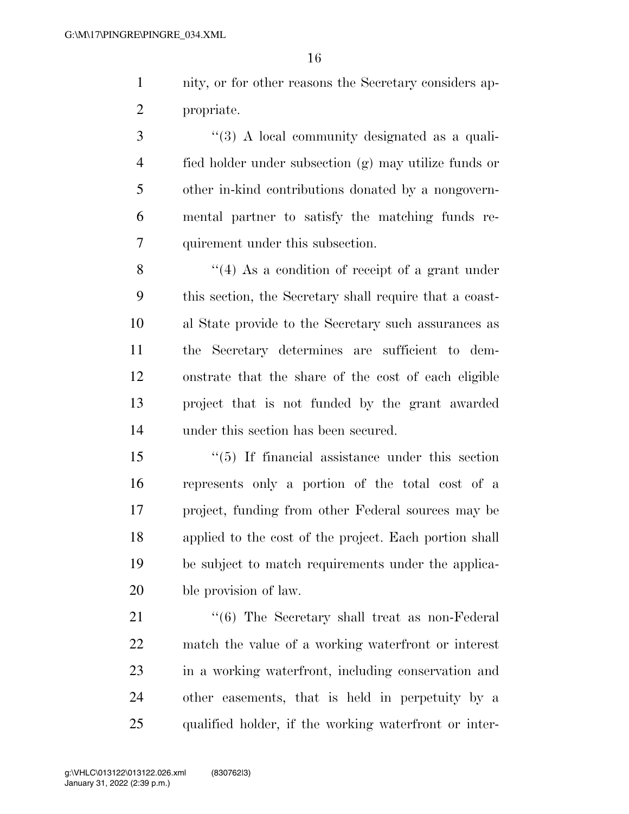nity, or for other reasons the Secretary considers ap-propriate.

3 "(3) A local community designated as a quali- fied holder under subsection (g) may utilize funds or other in-kind contributions donated by a nongovern- mental partner to satisfy the matching funds re-quirement under this subsection.

8 ''(4) As a condition of receipt of a grant under this section, the Secretary shall require that a coast- al State provide to the Secretary such assurances as the Secretary determines are sufficient to dem- onstrate that the share of the cost of each eligible project that is not funded by the grant awarded under this section has been secured.

 ''(5) If financial assistance under this section represents only a portion of the total cost of a project, funding from other Federal sources may be applied to the cost of the project. Each portion shall be subject to match requirements under the applica-ble provision of law.

21 ''(6) The Secretary shall treat as non-Federal match the value of a working waterfront or interest in a working waterfront, including conservation and other easements, that is held in perpetuity by a qualified holder, if the working waterfront or inter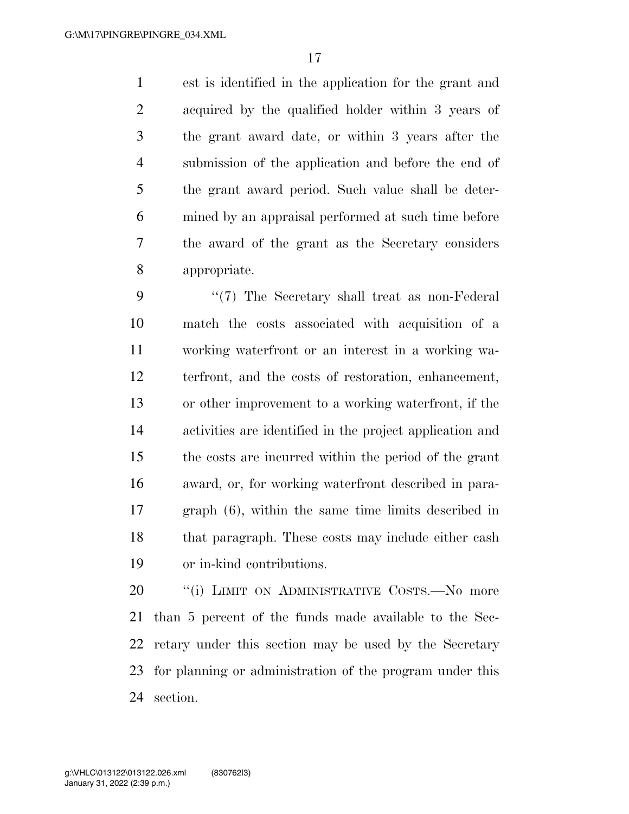est is identified in the application for the grant and acquired by the qualified holder within 3 years of the grant award date, or within 3 years after the submission of the application and before the end of the grant award period. Such value shall be deter- mined by an appraisal performed at such time before the award of the grant as the Secretary considers appropriate.

9 "(7) The Secretary shall treat as non-Federal match the costs associated with acquisition of a working waterfront or an interest in a working wa- terfront, and the costs of restoration, enhancement, or other improvement to a working waterfront, if the activities are identified in the project application and the costs are incurred within the period of the grant award, or, for working waterfront described in para- graph (6), within the same time limits described in that paragraph. These costs may include either cash or in-kind contributions.

20 "(i) LIMIT ON ADMINISTRATIVE COSTS.—No more than 5 percent of the funds made available to the Sec- retary under this section may be used by the Secretary for planning or administration of the program under this section.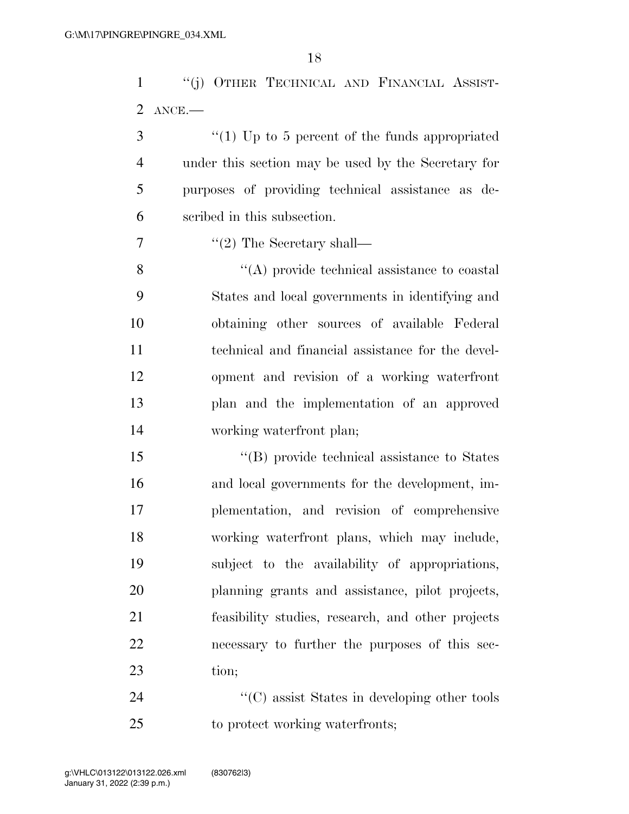''(j) OTHER TECHNICAL AND FINANCIAL ASSIST-ANCE.—

 ''(1) Up to 5 percent of the funds appropriated under this section may be used by the Secretary for purposes of providing technical assistance as de-scribed in this subsection.

7  $\text{``(2)}$  The Secretary shall—

 ''(A) provide technical assistance to coastal States and local governments in identifying and obtaining other sources of available Federal technical and financial assistance for the devel- opment and revision of a working waterfront plan and the implementation of an approved working waterfront plan;

 $\langle$  (B) provide technical assistance to States and local governments for the development, im- plementation, and revision of comprehensive working waterfront plans, which may include, subject to the availability of appropriations, planning grants and assistance, pilot projects, feasibility studies, research, and other projects necessary to further the purposes of this sec-tion;

24 ''(C) assist States in developing other tools to protect working waterfronts;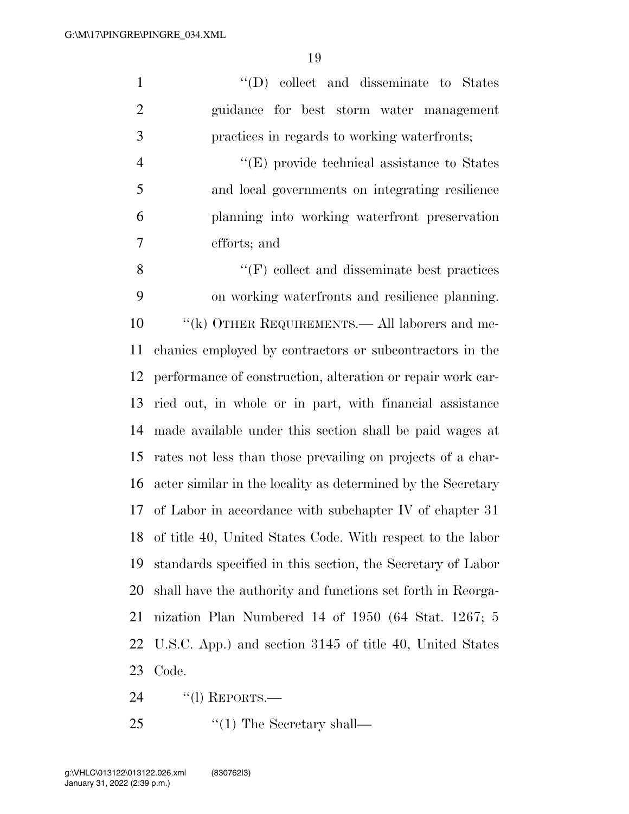''(D) collect and disseminate to States guidance for best storm water management practices in regards to working waterfronts;  $''(E)$  provide technical assistance to States and local governments on integrating resilience planning into working waterfront preservation efforts; and ''(F) collect and disseminate best practices on working waterfronts and resilience planning.

 ''(k) OTHER REQUIREMENTS.— All laborers and me- chanics employed by contractors or subcontractors in the performance of construction, alteration or repair work car- ried out, in whole or in part, with financial assistance made available under this section shall be paid wages at rates not less than those prevailing on projects of a char- acter similar in the locality as determined by the Secretary of Labor in accordance with subchapter IV of chapter 31 of title 40, United States Code. With respect to the labor standards specified in this section, the Secretary of Labor shall have the authority and functions set forth in Reorga- nization Plan Numbered 14 of 1950 (64 Stat. 1267; 5 U.S.C. App.) and section 3145 of title 40, United States Code.

''(l) REPORTS.—

25  $\frac{1}{2}$  The Secretary shall—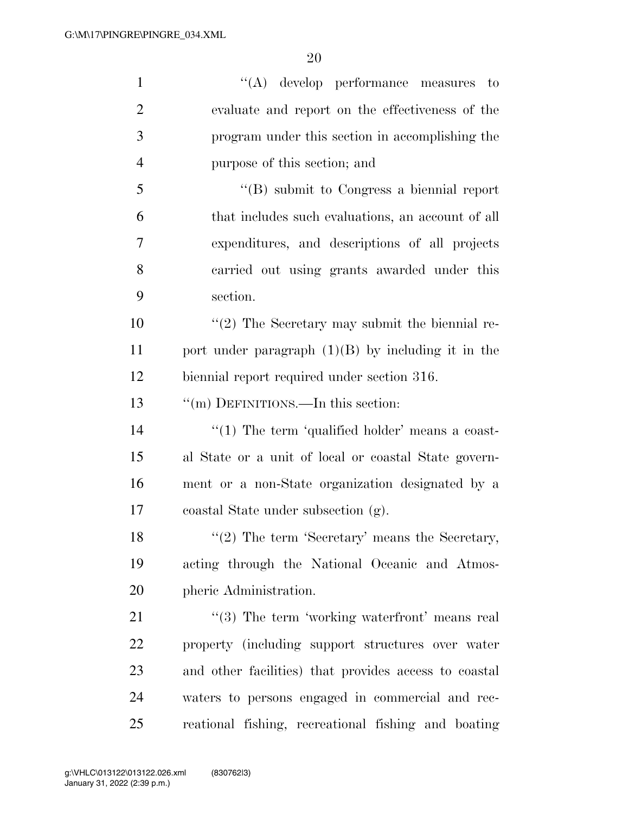| $\mathbf{1}$   | $\lq\lq$ develop performance measures to              |
|----------------|-------------------------------------------------------|
| $\overline{2}$ | evaluate and report on the effectiveness of the       |
| 3              | program under this section in accomplishing the       |
| $\overline{4}$ | purpose of this section; and                          |
| 5              | $\lq\lq (B)$ submit to Congress a biennial report     |
| 6              | that includes such evaluations, an account of all     |
| 7              | expenditures, and descriptions of all projects        |
| 8              | carried out using grants awarded under this           |
| 9              | section.                                              |
| 10             | $\lq(2)$ The Secretary may submit the biennial re-    |
| 11             | port under paragraph $(1)(B)$ by including it in the  |
| 12             | biennial report required under section 316.           |
| 13             | "(m) DEFINITIONS.—In this section:                    |
| 14             | " $(1)$ The term 'qualified holder' means a coast-    |
| 15             | al State or a unit of local or coastal State govern-  |
| 16             | ment or a non-State organization designated by a      |
| 17             | coastal State under subsection (g).                   |
| 18             | $"(2)$ The term 'Secretary' means the Secretary,      |
| 19             | acting through the National Oceanic and Atmos-        |
| 20             | pheric Administration.                                |
| 21             | $\lq(3)$ The term 'working waterfront' means real     |
| 22             | property (including support structures over water     |
| 23             | and other facilities) that provides access to coastal |
| 24             | waters to persons engaged in commercial and rec-      |
| 25             | reational fishing, recreational fishing and boating   |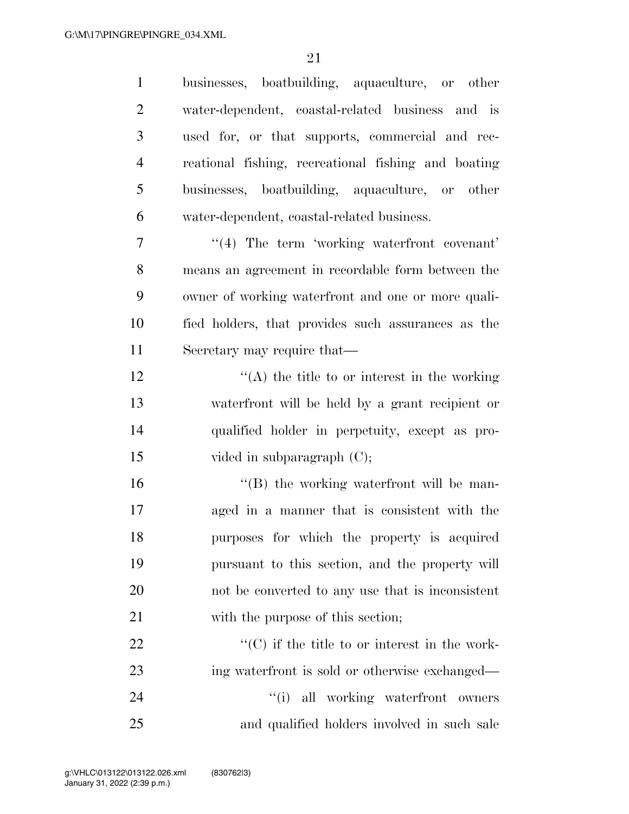| $\mathbf{1}$   | businesses, boatbuilding, aquaculture, or other       |
|----------------|-------------------------------------------------------|
| $\overline{2}$ | water-dependent, coastal-related business and is      |
| 3              | used for, or that supports, commercial and rec-       |
| $\overline{4}$ | reational fishing, recreational fishing and boating   |
| 5              | businesses, boatbuilding, aquaculture, or other       |
| 6              | water-dependent, coastal-related business.            |
| 7              | "(4) The term 'working waterfront covenant'           |
| 8              | means an agreement in recordable form between the     |
| 9              | owner of working waterfront and one or more quali-    |
| 10             | fied holders, that provides such assurances as the    |
| 11             | Secretary may require that—                           |
| 12             | $\lq\lq$ the title to or interest in the working      |
| 13             | waterfront will be held by a grant recipient or       |
| 14             | qualified holder in perpetuity, except as pro-        |
| 15             | vided in subparagraph (C);                            |
| 16             | "(B) the working waterfront will be man-              |
| 17             | aged in a manner that is consistent with the          |
| 18             | purposes for which the property is acquired           |
| 19             | pursuant to this section, and the property will       |
| 20             | not be converted to any use that is inconsistent      |
| 21             | with the purpose of this section;                     |
| 22             | $\lq\lq$ (C) if the title to or interest in the work- |
| 23             | ing waterfront is sold or otherwise exchanged—        |
| 24             | "(i) all working waterfront owners                    |
| 25             | and qualified holders involved in such sale           |